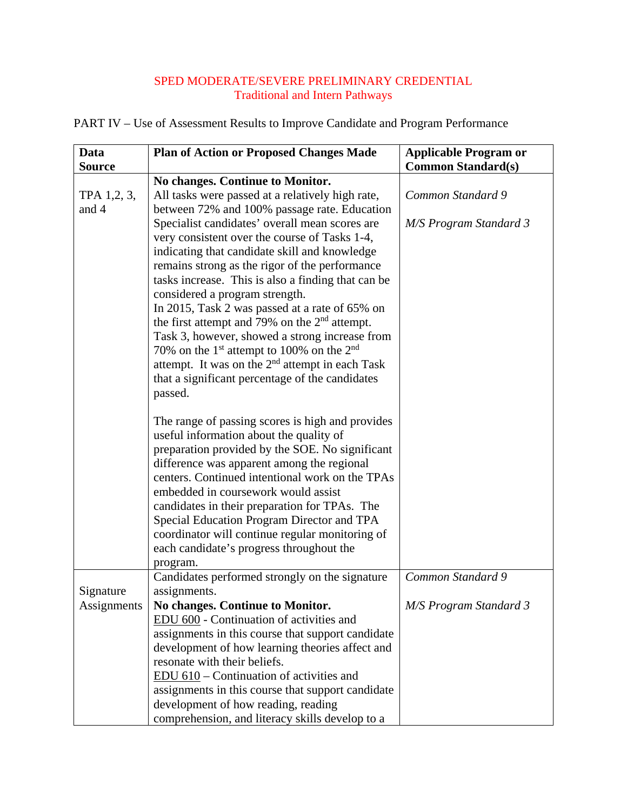## SPED MODERATE/SEVERE PRELIMINARY CREDENTIAL Traditional and Intern Pathways

**Data Source Plan of Action or Proposed Changes Made** | Applicable Program or **Common Standard(s)** TPA 1,2, 3, and 4 **No changes. Continue to Monitor.** All tasks were passed at a relatively high rate, between 72% and 100% passage rate. Education Specialist candidates' overall mean scores are very consistent over the course of Tasks 1-4, indicating that candidate skill and knowledge remains strong as the rigor of the performance tasks increase. This is also a finding that can be considered a program strength. In 2015, Task 2 was passed at a rate of 65% on the first attempt and 79% on the 2<sup>nd</sup> attempt. Task 3, however, showed a strong increase from 70% on the  $1<sup>st</sup>$  attempt to 100% on the  $2<sup>nd</sup>$ attempt. It was on the  $2<sup>nd</sup>$  attempt in each Task that a significant percentage of the candidates passed. The range of passing scores is high and provides useful information about the quality of preparation provided by the SOE. No significant difference was apparent among the regional centers. Continued intentional work on the TPAs embedded in coursework would assist candidates in their preparation for TPAs. The Special Education Program Director and TPA coordinator will continue regular monitoring of each candidate's progress throughout the program. *Common Standard 9 M/S Program Standard 3* Signature **Assignments** Candidates performed strongly on the signature assignments. **No changes. Continue to Monitor.** EDU 600 - Continuation of activities and assignments in this course that support candidate development of how learning theories affect and resonate with their beliefs. EDU 610 – Continuation of activities and assignments in this course that support candidate development of how reading, reading comprehension, and literacy skills develop to a *Common Standard 9 M/S Program Standard 3*

PART IV – Use of Assessment Results to Improve Candidate and Program Performance